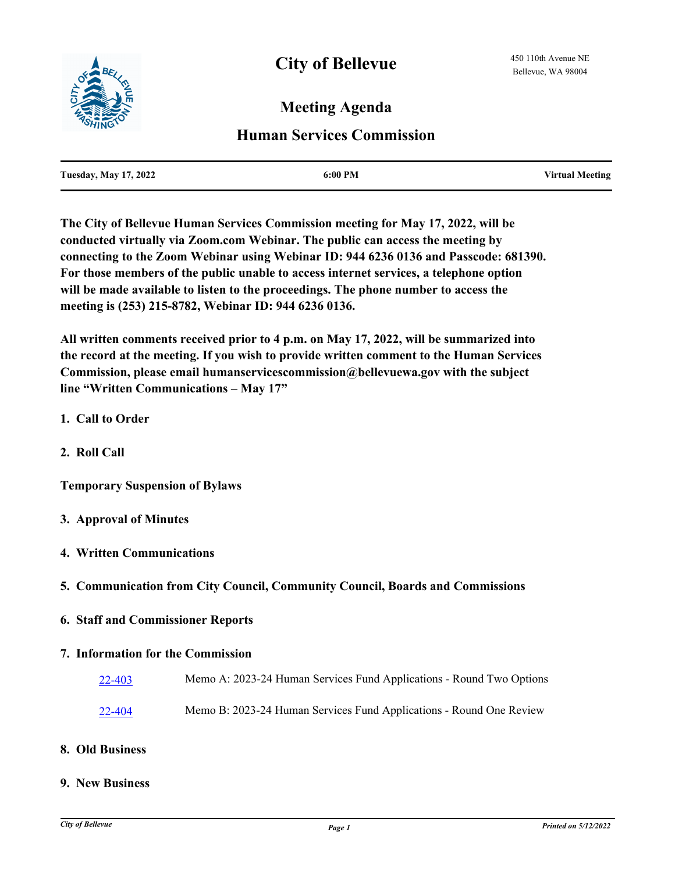

# **Meeting Agenda**

## **Human Services Commission**

| <b>Tuesday, May 17, 2022</b> | $6:00 \text{ PM}$ | <b>Virtual Meeting</b> |
|------------------------------|-------------------|------------------------|
|                              |                   |                        |

**The City of Bellevue Human Services Commission meeting for May 17, 2022, will be conducted virtually via Zoom.com Webinar. The public can access the meeting by connecting to the Zoom Webinar using Webinar ID: 944 6236 0136 and Passcode: 681390. For those members of the public unable to access internet services, a telephone option will be made available to listen to the proceedings. The phone number to access the meeting is (253) 215-8782, Webinar ID: 944 6236 0136.** 

**All written comments received prior to 4 p.m. on May 17, 2022, will be summarized into the record at the meeting. If you wish to provide written comment to the Human Services Commission, please email humanservicescommission@bellevuewa.gov with the subject line "Written Communications – May 17"**

- **1. Call to Order**
- **2. Roll Call**

**Temporary Suspension of Bylaws**

- **3. Approval of Minutes**
- **4. Written Communications**
- **5. Communication from City Council, Community Council, Boards and Commissions**
- **6. Staff and Commissioner Reports**

### **7. Information for the Commission**

- [22-403](http://bellevue.legistar.com/gateway.aspx?m=l&id=/matter.aspx?key=8014) Memo A: 2023-24 Human Services Fund Applications Round Two Options
- [22-404](http://bellevue.legistar.com/gateway.aspx?m=l&id=/matter.aspx?key=8015) Memo B: 2023-24 Human Services Fund Applications Round One Review

#### **8. Old Business**

#### **9. New Business**